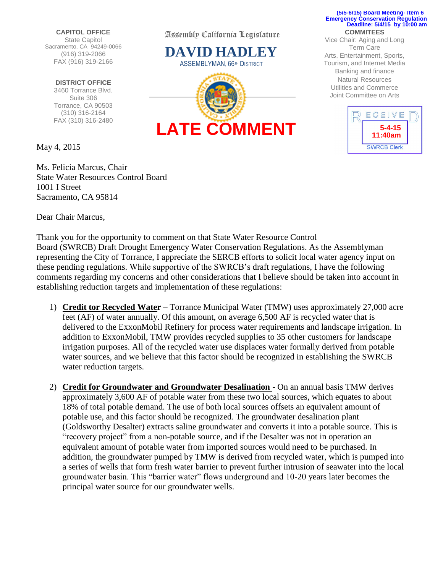**CAPITOL OFFICE** State Capitol Sacramento, CA 94249-0066 (916) 319-2066 FAX (916) 319-2166

**DISTRICT OFFICE** 3460 Torrance Blvd. Suite 306 Torrance, CA 90503 (310) 316-2164 FAX (310) 316-2480

May 4, 2015

Ms. Felicia Marcus, Chair State Water Resources Control Board 1001 I Street Sacramento, CA 95814

Dear Chair Marcus,

Assembly California Legislature

**DAVID HADLEY ASSEMBLYMAN, 66<sup>TH</sup> DISTRICT** 



## **COMMITEES (5/5-6/15) Board Meeting- Item 6 Emergency Conservation Regulation Deadline: 5/4/15 by 10:00 am**

Vice Chair: Aging and Long Term Care Arts, Entertainment, Sports, Tourism, and Internet Media Banking and finance Natural Resources Utilities and Commerce Joint Committee on Arts



Thank you for the opportunity to comment on that State Water Resource Control Board (SWRCB) Draft Drought Emergency Water Conservation Regulations. As the Assemblyman representing the City of Torrance, I appreciate the SERCB efforts to solicit local water agency input on these pending regulations. While supportive of the SWRCB's draft regulations, I have the following comments regarding my concerns and other considerations that I believe should be taken into account in establishing reduction targets and implementation of these regulations:

- 1) **Credit tor Recycled Water** Torrance Municipal Water (TMW) uses approximately 27,000 acre feet (AF) of water annually. Of this amount, on average 6,500 AF is recycled water that is delivered to the ExxonMobil Refinery for process water requirements and landscape irrigation. In addition to ExxonMobil, TMW provides recycled supplies to 35 other customers for landscape irrigation purposes. All of the recycled water use displaces water formally derived from potable water sources, and we believe that this factor should be recognized in establishing the SWRCB water reduction targets.
- 2) **Credit for Groundwater and Groundwater Desalination**  On an annual basis TMW derives approximately 3,600 AF of potable water from these two local sources, which equates to about 18% of total potable demand. The use of both local sources offsets an equivalent amount of potable use, and this factor should be recognized. The groundwater desalination plant (Goldsworthy Desalter) extracts saline groundwater and converts it into a potable source. This is "recovery project" from a non-potable source, and if the Desalter was not in operation an equivalent amount of potable water from imported sources would need to be purchased. In addition, the groundwater pumped by TMW is derived from recycled water, which is pumped into a series of wells that form fresh water barrier to prevent further intrusion of seawater into the local groundwater basin. This "barrier water" flows underground and 10-20 years later becomes the principal water source for our groundwater wells.